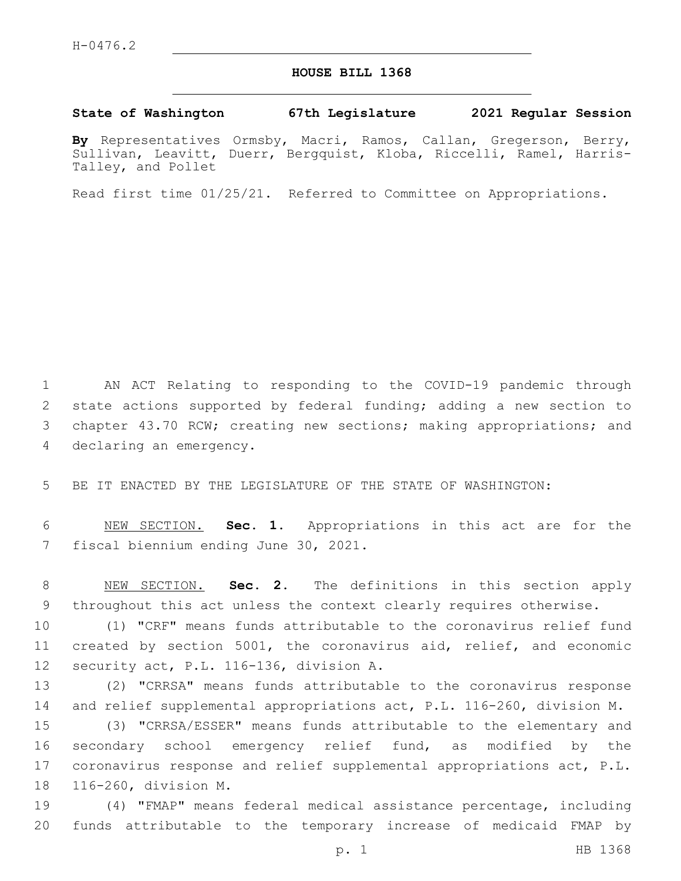#### **HOUSE BILL 1368**

#### **State of Washington 67th Legislature 2021 Regular Session**

**By** Representatives Ormsby, Macri, Ramos, Callan, Gregerson, Berry, Sullivan, Leavitt, Duerr, Bergquist, Kloba, Riccelli, Ramel, Harris-Talley, and Pollet

Read first time 01/25/21. Referred to Committee on Appropriations.

 AN ACT Relating to responding to the COVID-19 pandemic through state actions supported by federal funding; adding a new section to chapter 43.70 RCW; creating new sections; making appropriations; and 4 declaring an emergency.

BE IT ENACTED BY THE LEGISLATURE OF THE STATE OF WASHINGTON:

 NEW SECTION. **Sec. 1.** Appropriations in this act are for the fiscal biennium ending June 30, 2021.

 NEW SECTION. **Sec. 2.** The definitions in this section apply throughout this act unless the context clearly requires otherwise.

 (1) "CRF" means funds attributable to the coronavirus relief fund created by section 5001, the coronavirus aid, relief, and economic 12 security act, P.L. 116-136, division A.

 (2) "CRRSA" means funds attributable to the coronavirus response and relief supplemental appropriations act, P.L. 116-260, division M.

 (3) "CRRSA/ESSER" means funds attributable to the elementary and secondary school emergency relief fund, as modified by the coronavirus response and relief supplemental appropriations act, P.L. 18 116-260, division M.

 (4) "FMAP" means federal medical assistance percentage, including funds attributable to the temporary increase of medicaid FMAP by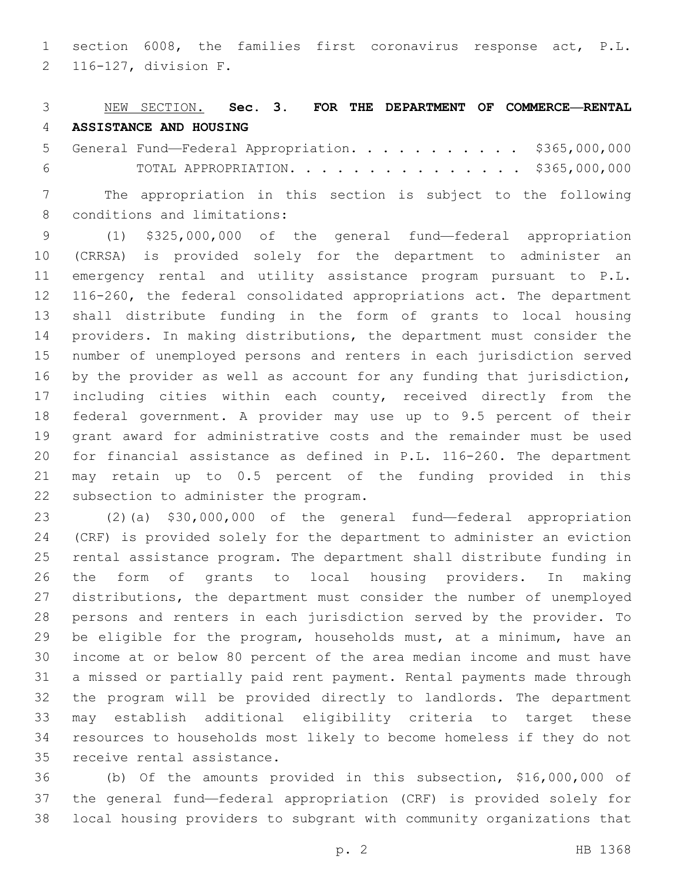section 6008, the families first coronavirus response act, P.L. 116-127, division F.2

#### NEW SECTION. **Sec. 3. FOR THE DEPARTMENT OF COMMERCE—RENTAL ASSISTANCE AND HOUSING**

 General Fund—Federal Appropriation. . . . . . . . . . . \$365,000,000 TOTAL APPROPRIATION. . . . . . . . . . . . . . . \$365,000,000

 The appropriation in this section is subject to the following 8 conditions and limitations:

 (1) \$325,000,000 of the general fund—federal appropriation (CRRSA) is provided solely for the department to administer an emergency rental and utility assistance program pursuant to P.L. 116-260, the federal consolidated appropriations act. The department shall distribute funding in the form of grants to local housing providers. In making distributions, the department must consider the number of unemployed persons and renters in each jurisdiction served by the provider as well as account for any funding that jurisdiction, including cities within each county, received directly from the federal government. A provider may use up to 9.5 percent of their grant award for administrative costs and the remainder must be used for financial assistance as defined in P.L. 116-260. The department may retain up to 0.5 percent of the funding provided in this 22 subsection to administer the program.

 (2)(a) \$30,000,000 of the general fund—federal appropriation (CRF) is provided solely for the department to administer an eviction rental assistance program. The department shall distribute funding in the form of grants to local housing providers. In making distributions, the department must consider the number of unemployed persons and renters in each jurisdiction served by the provider. To be eligible for the program, households must, at a minimum, have an income at or below 80 percent of the area median income and must have a missed or partially paid rent payment. Rental payments made through the program will be provided directly to landlords. The department may establish additional eligibility criteria to target these resources to households most likely to become homeless if they do not 35 receive rental assistance.

 (b) Of the amounts provided in this subsection, \$16,000,000 of the general fund—federal appropriation (CRF) is provided solely for local housing providers to subgrant with community organizations that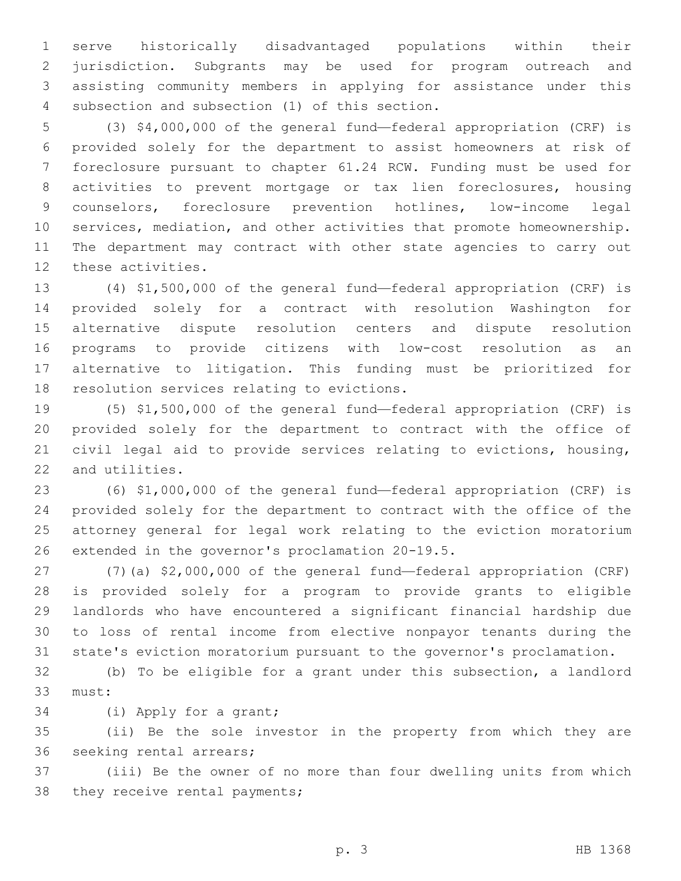serve historically disadvantaged populations within their jurisdiction. Subgrants may be used for program outreach and assisting community members in applying for assistance under this 4 subsection and subsection (1) of this section.

 (3) \$4,000,000 of the general fund—federal appropriation (CRF) is provided solely for the department to assist homeowners at risk of foreclosure pursuant to chapter 61.24 RCW. Funding must be used for activities to prevent mortgage or tax lien foreclosures, housing counselors, foreclosure prevention hotlines, low-income legal services, mediation, and other activities that promote homeownership. The department may contract with other state agencies to carry out 12 these activities.

 (4) \$1,500,000 of the general fund—federal appropriation (CRF) is provided solely for a contract with resolution Washington for alternative dispute resolution centers and dispute resolution programs to provide citizens with low-cost resolution as an alternative to litigation. This funding must be prioritized for 18 resolution services relating to evictions.

 (5) \$1,500,000 of the general fund—federal appropriation (CRF) is provided solely for the department to contract with the office of civil legal aid to provide services relating to evictions, housing, 22 and utilities.

 (6) \$1,000,000 of the general fund—federal appropriation (CRF) is provided solely for the department to contract with the office of the attorney general for legal work relating to the eviction moratorium 26 extended in the governor's proclamation 20-19.5.

 (7)(a) \$2,000,000 of the general fund—federal appropriation (CRF) is provided solely for a program to provide grants to eligible landlords who have encountered a significant financial hardship due to loss of rental income from elective nonpayor tenants during the state's eviction moratorium pursuant to the governor's proclamation.

 (b) To be eligible for a grant under this subsection, a landlord 33 must:

34 (i) Apply for a grant;

 (ii) Be the sole investor in the property from which they are 36 seeking rental arrears;

 (iii) Be the owner of no more than four dwelling units from which 38 they receive rental payments;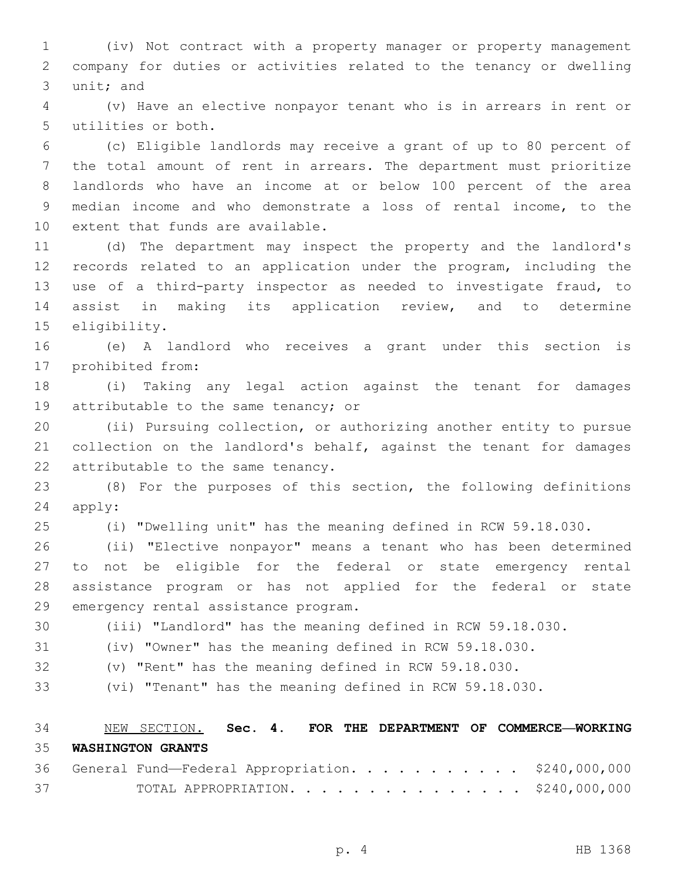(iv) Not contract with a property manager or property management company for duties or activities related to the tenancy or dwelling 3 unit; and

 (v) Have an elective nonpayor tenant who is in arrears in rent or 5 utilities or both.

 (c) Eligible landlords may receive a grant of up to 80 percent of the total amount of rent in arrears. The department must prioritize landlords who have an income at or below 100 percent of the area median income and who demonstrate a loss of rental income, to the 10 extent that funds are available.

 (d) The department may inspect the property and the landlord's records related to an application under the program, including the use of a third-party inspector as needed to investigate fraud, to assist in making its application review, and to determine 15 eligibility.

 (e) A landlord who receives a grant under this section is 17 prohibited from:

 (i) Taking any legal action against the tenant for damages 19 attributable to the same tenancy; or

 (ii) Pursuing collection, or authorizing another entity to pursue collection on the landlord's behalf, against the tenant for damages 22 attributable to the same tenancy.

 (8) For the purposes of this section, the following definitions 24 apply:

(i) "Dwelling unit" has the meaning defined in RCW 59.18.030.

 (ii) "Elective nonpayor" means a tenant who has been determined to not be eligible for the federal or state emergency rental assistance program or has not applied for the federal or state 29 emergency rental assistance program.

(iii) "Landlord" has the meaning defined in RCW 59.18.030.

(iv) "Owner" has the meaning defined in RCW 59.18.030.

(v) "Rent" has the meaning defined in RCW 59.18.030.

(vi) "Tenant" has the meaning defined in RCW 59.18.030.

 NEW SECTION. **Sec. 4. FOR THE DEPARTMENT OF COMMERCE—WORKING WASHINGTON GRANTS**

|    | 36 General Fund-Federal Appropriation. \$240,000,000 |  |  |  |  |  |  |  |
|----|------------------------------------------------------|--|--|--|--|--|--|--|
| 37 | TOTAL APPROPRIATION. \$240,000,000                   |  |  |  |  |  |  |  |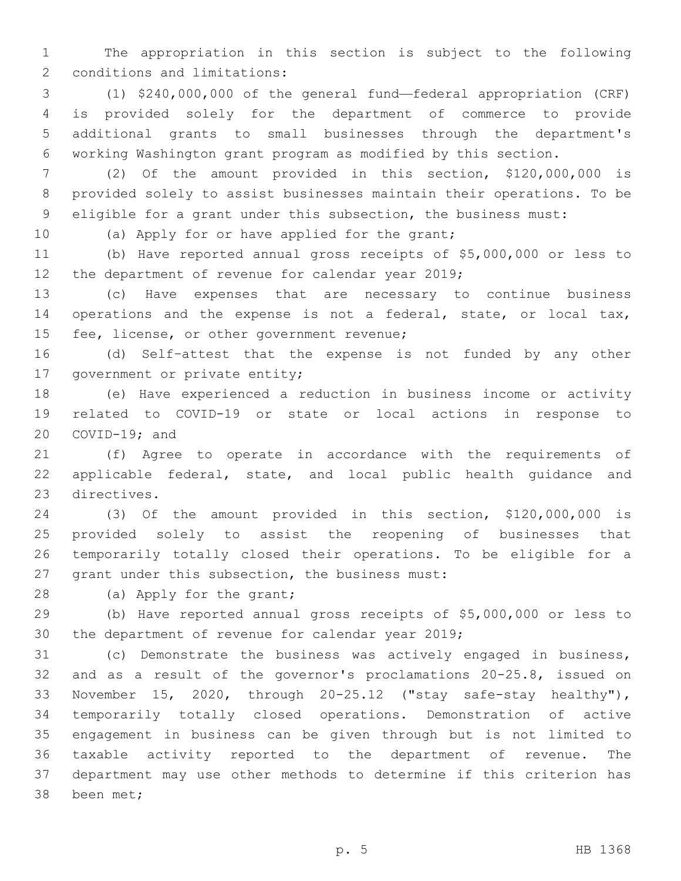The appropriation in this section is subject to the following 2 conditions and limitations:

 (1) \$240,000,000 of the general fund—federal appropriation (CRF) is provided solely for the department of commerce to provide additional grants to small businesses through the department's working Washington grant program as modified by this section.

 (2) Of the amount provided in this section, \$120,000,000 is provided solely to assist businesses maintain their operations. To be eligible for a grant under this subsection, the business must:

10 (a) Apply for or have applied for the grant;

 (b) Have reported annual gross receipts of \$5,000,000 or less to 12 the department of revenue for calendar year 2019;

 (c) Have expenses that are necessary to continue business operations and the expense is not a federal, state, or local tax, 15 fee, license, or other government revenue;

 (d) Self–attest that the expense is not funded by any other 17 government or private entity;

 (e) Have experienced a reduction in business income or activity related to COVID-19 or state or local actions in response to COVID-19; and

 (f) Agree to operate in accordance with the requirements of applicable federal, state, and local public health guidance and 23 directives.

 (3) Of the amount provided in this section, \$120,000,000 is provided solely to assist the reopening of businesses that temporarily totally closed their operations. To be eligible for a 27 grant under this subsection, the business must:

28 (a) Apply for the grant;

 (b) Have reported annual gross receipts of \$5,000,000 or less to 30 the department of revenue for calendar year ;

 (c) Demonstrate the business was actively engaged in business, and as a result of the governor's proclamations 20-25.8, issued on November 15, 2020, through 20-25.12 ("stay safe-stay healthy"), temporarily totally closed operations. Demonstration of active engagement in business can be given through but is not limited to taxable activity reported to the department of revenue. The department may use other methods to determine if this criterion has 38 been met;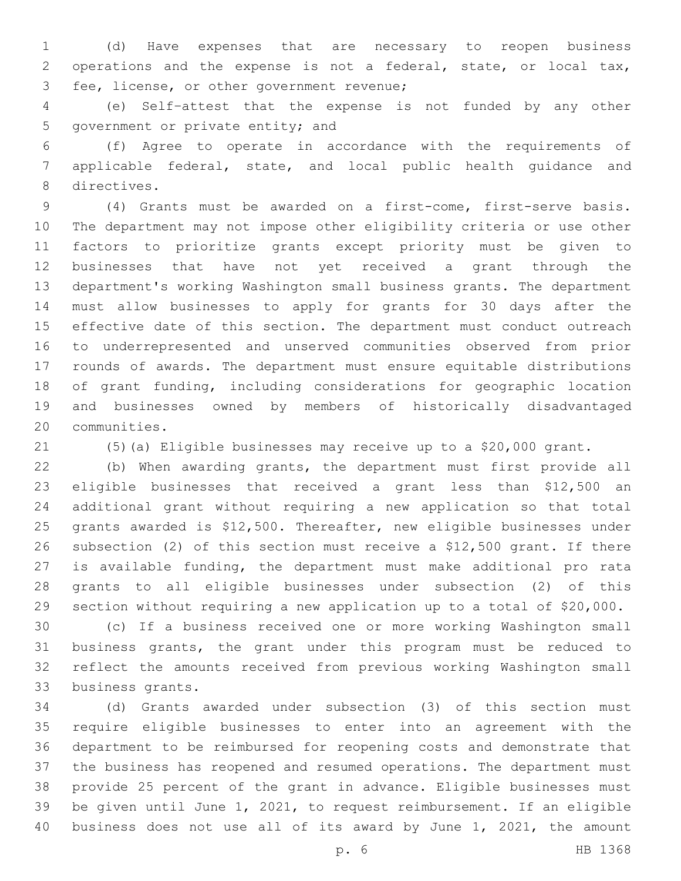(d) Have expenses that are necessary to reopen business operations and the expense is not a federal, state, or local tax, 3 fee, license, or other government revenue;

 (e) Self–attest that the expense is not funded by any other 5 government or private entity; and

 (f) Agree to operate in accordance with the requirements of applicable federal, state, and local public health guidance and 8 directives.

 (4) Grants must be awarded on a first-come, first-serve basis. The department may not impose other eligibility criteria or use other factors to prioritize grants except priority must be given to businesses that have not yet received a grant through the department's working Washington small business grants. The department must allow businesses to apply for grants for 30 days after the effective date of this section. The department must conduct outreach to underrepresented and unserved communities observed from prior rounds of awards. The department must ensure equitable distributions of grant funding, including considerations for geographic location and businesses owned by members of historically disadvantaged 20 communities.

(5)(a) Eligible businesses may receive up to a \$20,000 grant.

 (b) When awarding grants, the department must first provide all eligible businesses that received a grant less than \$12,500 an additional grant without requiring a new application so that total grants awarded is \$12,500. Thereafter, new eligible businesses under subsection (2) of this section must receive a \$12,500 grant. If there is available funding, the department must make additional pro rata grants to all eligible businesses under subsection (2) of this section without requiring a new application up to a total of \$20,000.

 (c) If a business received one or more working Washington small business grants, the grant under this program must be reduced to reflect the amounts received from previous working Washington small 33 business grants.

 (d) Grants awarded under subsection (3) of this section must require eligible businesses to enter into an agreement with the department to be reimbursed for reopening costs and demonstrate that the business has reopened and resumed operations. The department must provide 25 percent of the grant in advance. Eligible businesses must be given until June 1, 2021, to request reimbursement. If an eligible business does not use all of its award by June 1, 2021, the amount

p. 6 HB 1368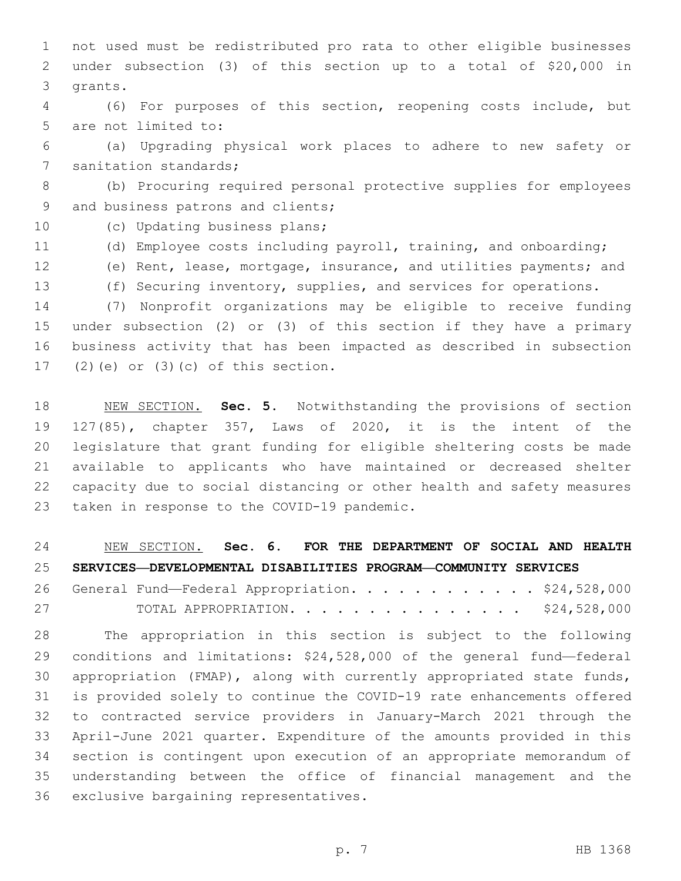not used must be redistributed pro rata to other eligible businesses under subsection (3) of this section up to a total of \$20,000 in 3 grants.

 (6) For purposes of this section, reopening costs include, but 5 are not limited to:

 (a) Upgrading physical work places to adhere to new safety or 7 sanitation standards;

 (b) Procuring required personal protective supplies for employees 9 and business patrons and clients;

10 (c) Updating business plans;

- (d) Employee costs including payroll, training, and onboarding;
- (e) Rent, lease, mortgage, insurance, and utilities payments; and
- (f) Securing inventory, supplies, and services for operations.

 (7) Nonprofit organizations may be eligible to receive funding under subsection (2) or (3) of this section if they have a primary business activity that has been impacted as described in subsection (2)(e) or (3)(c) of this section.

 NEW SECTION. **Sec. 5.** Notwithstanding the provisions of section 127(85), chapter 357, Laws of 2020, it is the intent of the legislature that grant funding for eligible sheltering costs be made available to applicants who have maintained or decreased shelter capacity due to social distancing or other health and safety measures taken in response to the COVID-19 pandemic.

 NEW SECTION. **Sec. 6. FOR THE DEPARTMENT OF SOCIAL AND HEALTH SERVICES—DEVELOPMENTAL DISABILITIES PROGRAM—COMMUNITY SERVICES**

26 General Fund—Federal Appropriation. . . . . . . . . . . \$24,528,000 TOTAL APPROPRIATION. . . . . . . . . . . . . . . \$24,528,000

 The appropriation in this section is subject to the following conditions and limitations: \$24,528,000 of the general fund—federal appropriation (FMAP), along with currently appropriated state funds, is provided solely to continue the COVID-19 rate enhancements offered to contracted service providers in January-March 2021 through the April-June 2021 quarter. Expenditure of the amounts provided in this section is contingent upon execution of an appropriate memorandum of understanding between the office of financial management and the 36 exclusive bargaining representatives.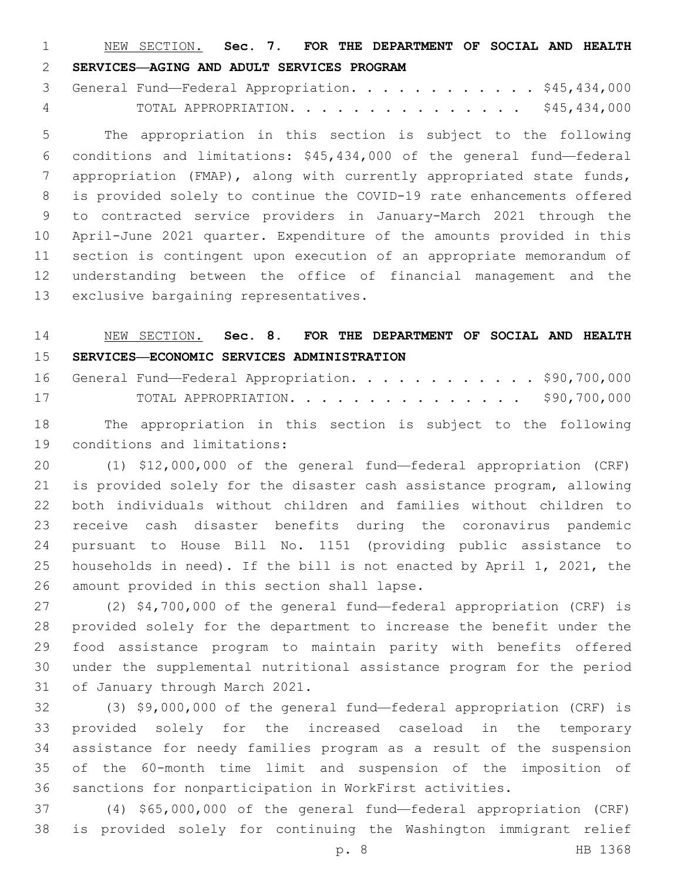NEW SECTION. **Sec. 7. FOR THE DEPARTMENT OF SOCIAL AND HEALTH SERVICES—AGING AND ADULT SERVICES PROGRAM**

3 General Fund—Federal Appropriation. . . . . . . . . . . \$45,434,000 TOTAL APPROPRIATION. . . . . . . . . . . . . . . \$45,434,000

 The appropriation in this section is subject to the following conditions and limitations: \$45,434,000 of the general fund—federal appropriation (FMAP), along with currently appropriated state funds, is provided solely to continue the COVID-19 rate enhancements offered to contracted service providers in January-March 2021 through the April-June 2021 quarter. Expenditure of the amounts provided in this section is contingent upon execution of an appropriate memorandum of understanding between the office of financial management and the 13 exclusive bargaining representatives.

# NEW SECTION. **Sec. 8. FOR THE DEPARTMENT OF SOCIAL AND HEALTH SERVICES—ECONOMIC SERVICES ADMINISTRATION**

|    |  |  |  |  |  |  |  |  | 16 General Fund-Federal Appropriation. \$90,700,000 |
|----|--|--|--|--|--|--|--|--|-----------------------------------------------------|
| 17 |  |  |  |  |  |  |  |  | TOTAL APPROPRIATION. 990,700,000                    |

 The appropriation in this section is subject to the following 19 conditions and limitations:

 (1) \$12,000,000 of the general fund—federal appropriation (CRF) is provided solely for the disaster cash assistance program, allowing both individuals without children and families without children to receive cash disaster benefits during the coronavirus pandemic pursuant to House Bill No. 1151 (providing public assistance to households in need). If the bill is not enacted by April 1, 2021, the 26 amount provided in this section shall lapse.

 (2) \$4,700,000 of the general fund—federal appropriation (CRF) is provided solely for the department to increase the benefit under the food assistance program to maintain parity with benefits offered under the supplemental nutritional assistance program for the period 31 of January through March 2021.

 (3) \$9,000,000 of the general fund—federal appropriation (CRF) is provided solely for the increased caseload in the temporary assistance for needy families program as a result of the suspension of the 60-month time limit and suspension of the imposition of sanctions for nonparticipation in WorkFirst activities.

 (4) \$65,000,000 of the general fund—federal appropriation (CRF) is provided solely for continuing the Washington immigrant relief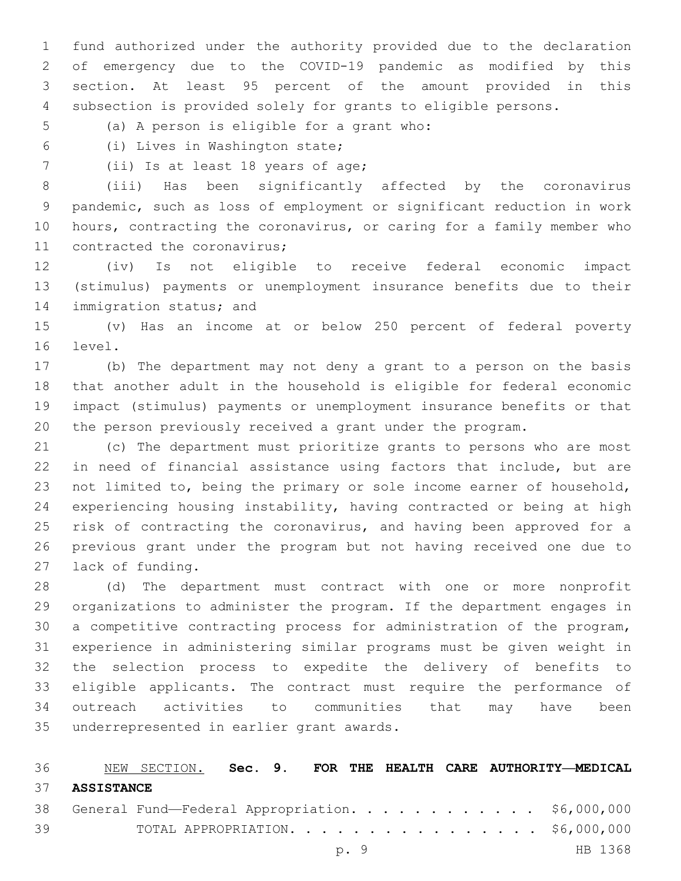fund authorized under the authority provided due to the declaration of emergency due to the COVID-19 pandemic as modified by this section. At least 95 percent of the amount provided in this subsection is provided solely for grants to eligible persons.

- 5 (a) A person is eligible for a grant who:
- (i) Lives in Washington state;6
- 7 (ii) Is at least 18 years of age;

 (iii) Has been significantly affected by the coronavirus pandemic, such as loss of employment or significant reduction in work hours, contracting the coronavirus, or caring for a family member who 11 contracted the coronavirus;

 (iv) Is not eligible to receive federal economic impact (stimulus) payments or unemployment insurance benefits due to their 14 immigration status; and

 (v) Has an income at or below 250 percent of federal poverty 16 level.

 (b) The department may not deny a grant to a person on the basis that another adult in the household is eligible for federal economic impact (stimulus) payments or unemployment insurance benefits or that the person previously received a grant under the program.

 (c) The department must prioritize grants to persons who are most in need of financial assistance using factors that include, but are not limited to, being the primary or sole income earner of household, experiencing housing instability, having contracted or being at high 25 risk of contracting the coronavirus, and having been approved for a previous grant under the program but not having received one due to 27 lack of funding.

 (d) The department must contract with one or more nonprofit organizations to administer the program. If the department engages in a competitive contracting process for administration of the program, experience in administering similar programs must be given weight in the selection process to expedite the delivery of benefits to eligible applicants. The contract must require the performance of outreach activities to communities that may have been 35 underrepresented in earlier grant awards.

 NEW SECTION. **Sec. 9. FOR THE HEALTH CARE AUTHORITY—MEDICAL ASSISTANCE** General Fund—Federal Appropriation. . . . . . . . . . . . \$6,000,000 TOTAL APPROPRIATION. . . . . . . . . . . . . . . . \$6,000,000 p. 9 HB 1368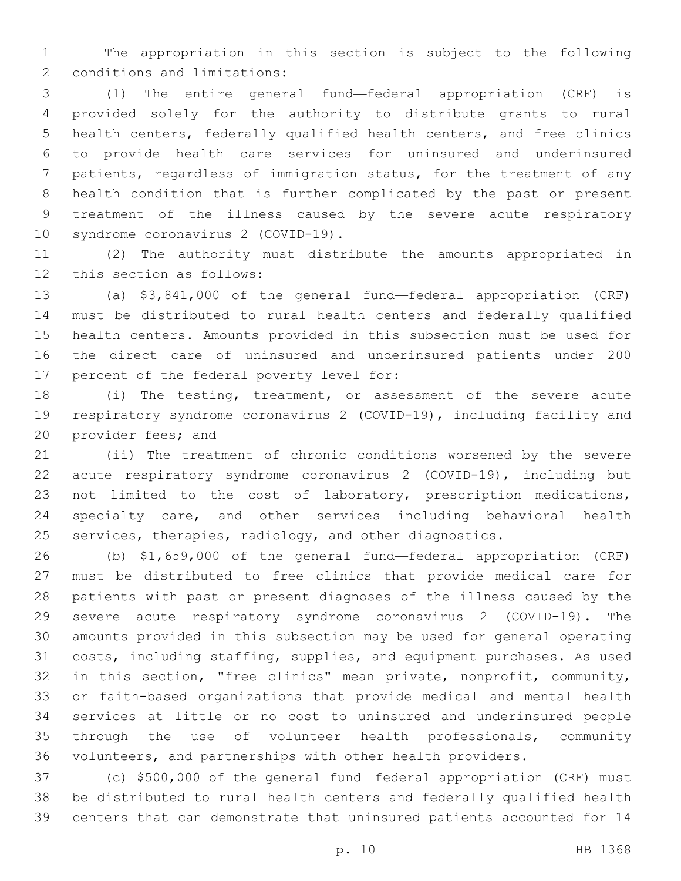The appropriation in this section is subject to the following 2 conditions and limitations:

 (1) The entire general fund—federal appropriation (CRF) is provided solely for the authority to distribute grants to rural health centers, federally qualified health centers, and free clinics to provide health care services for uninsured and underinsured patients, regardless of immigration status, for the treatment of any health condition that is further complicated by the past or present treatment of the illness caused by the severe acute respiratory 10 syndrome coronavirus 2 (COVID-19).

 (2) The authority must distribute the amounts appropriated in 12 this section as follows:

 (a) \$3,841,000 of the general fund—federal appropriation (CRF) must be distributed to rural health centers and federally qualified health centers. Amounts provided in this subsection must be used for the direct care of uninsured and underinsured patients under 200 17 percent of the federal poverty level for:

 (i) The testing, treatment, or assessment of the severe acute respiratory syndrome coronavirus 2 (COVID-19), including facility and 20 provider fees; and

 (ii) The treatment of chronic conditions worsened by the severe acute respiratory syndrome coronavirus 2 (COVID-19), including but not limited to the cost of laboratory, prescription medications, specialty care, and other services including behavioral health services, therapies, radiology, and other diagnostics.

 (b) \$1,659,000 of the general fund—federal appropriation (CRF) must be distributed to free clinics that provide medical care for patients with past or present diagnoses of the illness caused by the severe acute respiratory syndrome coronavirus 2 (COVID-19). The amounts provided in this subsection may be used for general operating costs, including staffing, supplies, and equipment purchases. As used in this section, "free clinics" mean private, nonprofit, community, or faith-based organizations that provide medical and mental health services at little or no cost to uninsured and underinsured people through the use of volunteer health professionals, community volunteers, and partnerships with other health providers.

 (c) \$500,000 of the general fund—federal appropriation (CRF) must be distributed to rural health centers and federally qualified health centers that can demonstrate that uninsured patients accounted for 14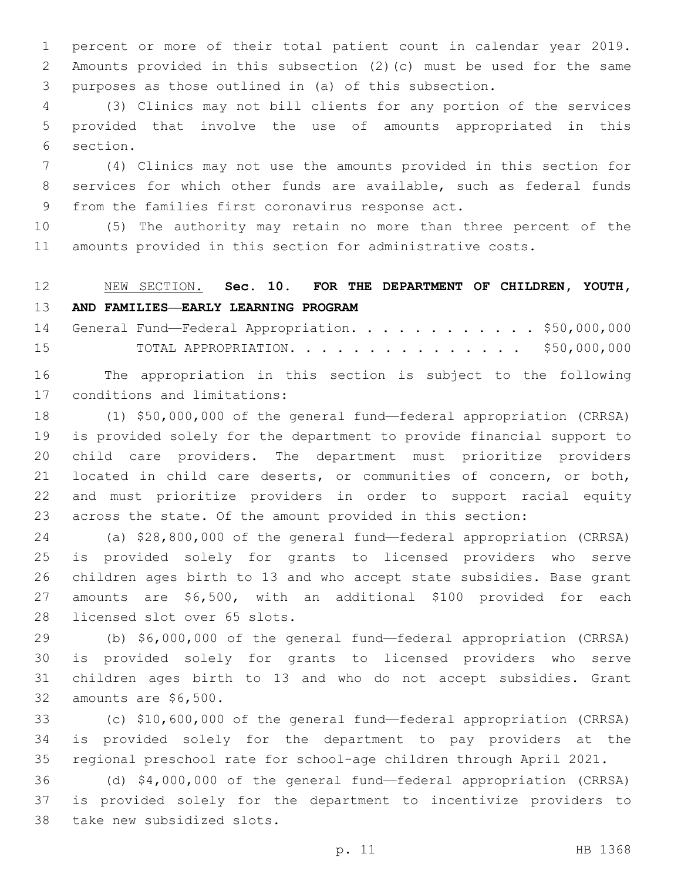percent or more of their total patient count in calendar year 2019. Amounts provided in this subsection (2)(c) must be used for the same purposes as those outlined in (a) of this subsection.

 (3) Clinics may not bill clients for any portion of the services provided that involve the use of amounts appropriated in this 6 section.

 (4) Clinics may not use the amounts provided in this section for services for which other funds are available, such as federal funds 9 from the families first coronavirus response act.

 (5) The authority may retain no more than three percent of the amounts provided in this section for administrative costs.

# NEW SECTION. **Sec. 10. FOR THE DEPARTMENT OF CHILDREN, YOUTH, AND FAMILIES—EARLY LEARNING PROGRAM**

14 General Fund—Federal Appropriation. . . . . . . . . . . \$50,000,000 TOTAL APPROPRIATION. . . . . . . . . . . . . . . \$50,000,000

 The appropriation in this section is subject to the following 17 conditions and limitations:

 (1) \$50,000,000 of the general fund—federal appropriation (CRRSA) is provided solely for the department to provide financial support to child care providers. The department must prioritize providers located in child care deserts, or communities of concern, or both, and must prioritize providers in order to support racial equity across the state. Of the amount provided in this section:

 (a) \$28,800,000 of the general fund—federal appropriation (CRRSA) is provided solely for grants to licensed providers who serve children ages birth to 13 and who accept state subsidies. Base grant amounts are \$6,500, with an additional \$100 provided for each 28 licensed slot over 65 slots.

 (b) \$6,000,000 of the general fund—federal appropriation (CRRSA) is provided solely for grants to licensed providers who serve children ages birth to 13 and who do not accept subsidies. Grant 32 amounts are \$6,500.

 (c) \$10,600,000 of the general fund—federal appropriation (CRRSA) is provided solely for the department to pay providers at the regional preschool rate for school-age children through April 2021.

 (d) \$4,000,000 of the general fund—federal appropriation (CRRSA) is provided solely for the department to incentivize providers to 38 take new subsidized slots.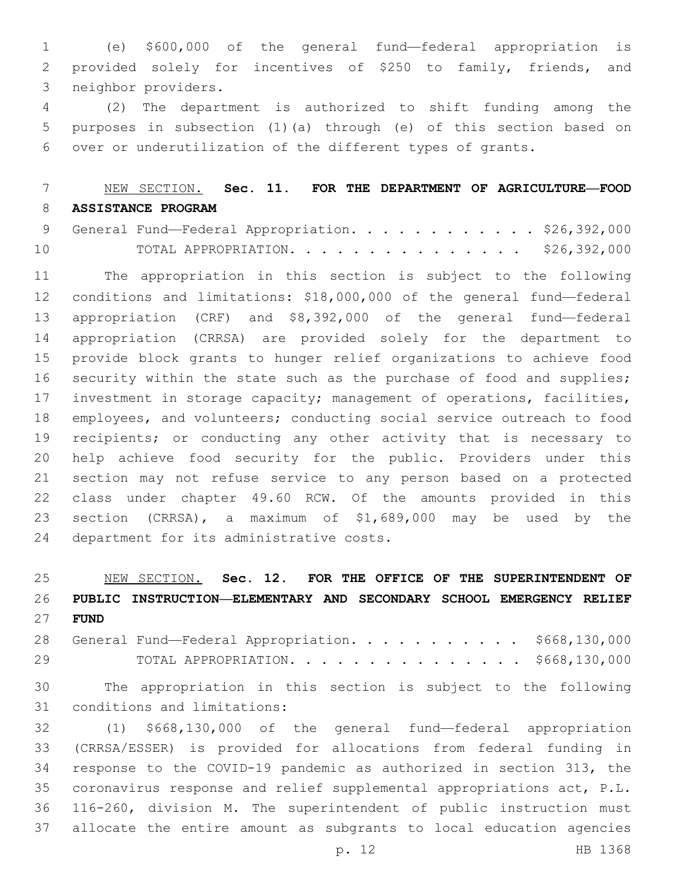(e) \$600,000 of the general fund—federal appropriation is provided solely for incentives of \$250 to family, friends, and 3 neighbor providers.

 (2) The department is authorized to shift funding among the purposes in subsection (1)(a) through (e) of this section based on over or underutilization of the different types of grants.

## NEW SECTION. **Sec. 11. FOR THE DEPARTMENT OF AGRICULTURE—FOOD ASSISTANCE PROGRAM**

|    |  |  |  |  |  |  | 9 General Fund—Federal Appropriation. \$26,392,000 |
|----|--|--|--|--|--|--|----------------------------------------------------|
| 10 |  |  |  |  |  |  | TOTAL APPROPRIATION. \$26,392,000                  |

 The appropriation in this section is subject to the following conditions and limitations: \$18,000,000 of the general fund—federal appropriation (CRF) and \$8,392,000 of the general fund—federal appropriation (CRRSA) are provided solely for the department to provide block grants to hunger relief organizations to achieve food 16 security within the state such as the purchase of food and supplies; investment in storage capacity; management of operations, facilities, employees, and volunteers; conducting social service outreach to food recipients; or conducting any other activity that is necessary to help achieve food security for the public. Providers under this section may not refuse service to any person based on a protected class under chapter 49.60 RCW. Of the amounts provided in this section (CRRSA), a maximum of \$1,689,000 may be used by the 24 department for its administrative costs.

 NEW SECTION. **Sec. 12. FOR THE OFFICE OF THE SUPERINTENDENT OF PUBLIC INSTRUCTION—ELEMENTARY AND SECONDARY SCHOOL EMERGENCY RELIEF FUND**

28 General Fund—Federal Appropriation. . . . . . . . . . \$668,130,000 TOTAL APPROPRIATION. . . . . . . . . . . . . . . \$668,130,000

 The appropriation in this section is subject to the following 31 conditions and limitations:

 (1) \$668,130,000 of the general fund—federal appropriation (CRRSA/ESSER) is provided for allocations from federal funding in response to the COVID-19 pandemic as authorized in section 313, the coronavirus response and relief supplemental appropriations act, P.L. 116-260, division M. The superintendent of public instruction must allocate the entire amount as subgrants to local education agencies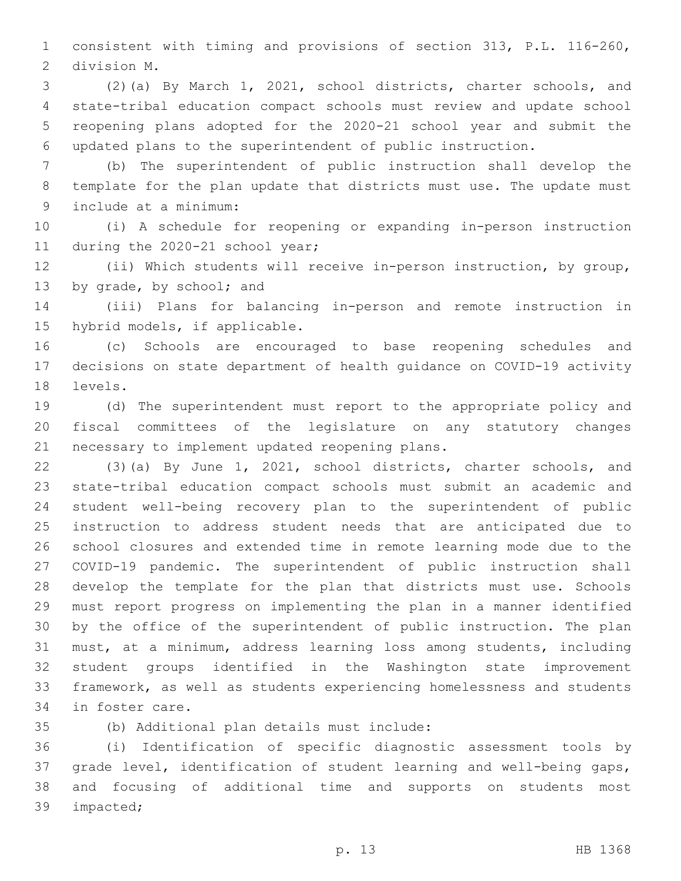consistent with timing and provisions of section 313, P.L. 116-260, 2 division M.

 (2)(a) By March 1, 2021, school districts, charter schools, and state-tribal education compact schools must review and update school reopening plans adopted for the 2020-21 school year and submit the updated plans to the superintendent of public instruction.

 (b) The superintendent of public instruction shall develop the template for the plan update that districts must use. The update must include at a minimum:9

 (i) A schedule for reopening or expanding in-person instruction 11 during the 2020-21 school year;

 (ii) Which students will receive in-person instruction, by group, 13 by grade, by school; and

 (iii) Plans for balancing in-person and remote instruction in 15 hybrid models, if applicable.

 (c) Schools are encouraged to base reopening schedules and decisions on state department of health guidance on COVID-19 activity 18 levels.

 (d) The superintendent must report to the appropriate policy and fiscal committees of the legislature on any statutory changes 21 necessary to implement updated reopening plans.

 (3)(a) By June 1, 2021, school districts, charter schools, and state-tribal education compact schools must submit an academic and student well-being recovery plan to the superintendent of public instruction to address student needs that are anticipated due to school closures and extended time in remote learning mode due to the COVID-19 pandemic. The superintendent of public instruction shall develop the template for the plan that districts must use. Schools must report progress on implementing the plan in a manner identified by the office of the superintendent of public instruction. The plan must, at a minimum, address learning loss among students, including student groups identified in the Washington state improvement framework, as well as students experiencing homelessness and students 34 in foster care.

(b) Additional plan details must include:35

 (i) Identification of specific diagnostic assessment tools by grade level, identification of student learning and well-being gaps, and focusing of additional time and supports on students most 39 impacted;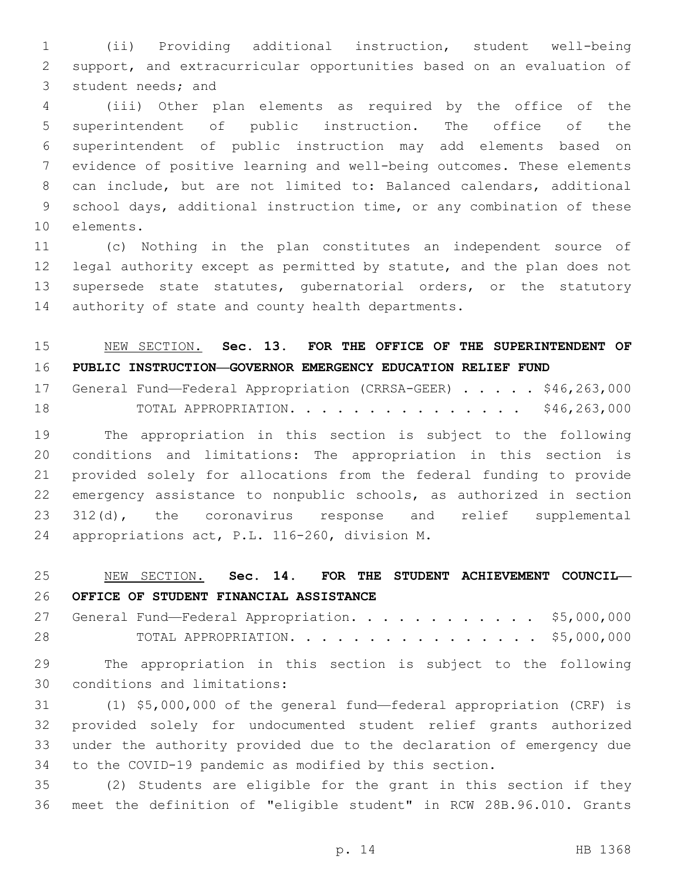(ii) Providing additional instruction, student well-being support, and extracurricular opportunities based on an evaluation of 3 student needs; and

 (iii) Other plan elements as required by the office of the superintendent of public instruction. The office of the superintendent of public instruction may add elements based on evidence of positive learning and well-being outcomes. These elements can include, but are not limited to: Balanced calendars, additional school days, additional instruction time, or any combination of these 10 elements.

 (c) Nothing in the plan constitutes an independent source of legal authority except as permitted by statute, and the plan does not supersede state statutes, gubernatorial orders, or the statutory 14 authority of state and county health departments.

## NEW SECTION. **Sec. 13. FOR THE OFFICE OF THE SUPERINTENDENT OF PUBLIC INSTRUCTION—GOVERNOR EMERGENCY EDUCATION RELIEF FUND**

|    | 17 General Fund-Federal Appropriation (CRRSA-GEER) \$46,263,000 |                      |  |  |  |  |  |  |              |  |
|----|-----------------------------------------------------------------|----------------------|--|--|--|--|--|--|--------------|--|
| 18 |                                                                 | TOTAL APPROPRIATION. |  |  |  |  |  |  | \$46,263,000 |  |

 The appropriation in this section is subject to the following conditions and limitations: The appropriation in this section is provided solely for allocations from the federal funding to provide emergency assistance to nonpublic schools, as authorized in section 312(d), the coronavirus response and relief supplemental 24 appropriations act, P.L. 116-260, division M.

# NEW SECTION. **Sec. 14. FOR THE STUDENT ACHIEVEMENT COUNCIL— OFFICE OF STUDENT FINANCIAL ASSISTANCE**

27 General Fund—Federal Appropriation. . . . . . . . . . . \$5,000,000 TOTAL APPROPRIATION. . . . . . . . . . . . . . . . \$5,000,000

 The appropriation in this section is subject to the following 30 conditions and limitations:

 (1) \$5,000,000 of the general fund—federal appropriation (CRF) is provided solely for undocumented student relief grants authorized under the authority provided due to the declaration of emergency due to the COVID-19 pandemic as modified by this section.

 (2) Students are eligible for the grant in this section if they meet the definition of "eligible student" in RCW 28B.96.010. Grants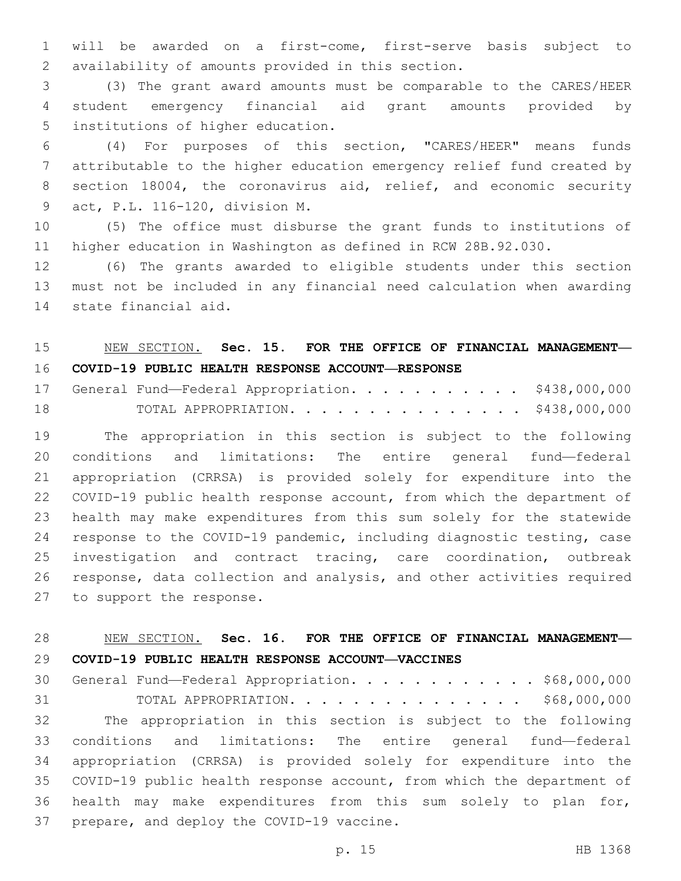will be awarded on a first-come, first-serve basis subject to availability of amounts provided in this section.2

 (3) The grant award amounts must be comparable to the CARES/HEER student emergency financial aid grant amounts provided by 5 institutions of higher education.

 (4) For purposes of this section, "CARES/HEER" means funds attributable to the higher education emergency relief fund created by section 18004, the coronavirus aid, relief, and economic security act, P.L. 116-120, division M.9

 (5) The office must disburse the grant funds to institutions of higher education in Washington as defined in RCW 28B.92.030.

 (6) The grants awarded to eligible students under this section must not be included in any financial need calculation when awarding 14 state financial aid.

### NEW SECTION. **Sec. 15. FOR THE OFFICE OF FINANCIAL MANAGEMENT— COVID-19 PUBLIC HEALTH RESPONSE ACCOUNT—RESPONSE**

17 General Fund—Federal Appropriation. . . . . . . . . . \$438,000,000 TOTAL APPROPRIATION. . . . . . . . . . . . . . . \$438,000,000

 The appropriation in this section is subject to the following conditions and limitations: The entire general fund—federal appropriation (CRRSA) is provided solely for expenditure into the COVID-19 public health response account, from which the department of health may make expenditures from this sum solely for the statewide response to the COVID-19 pandemic, including diagnostic testing, case investigation and contract tracing, care coordination, outbreak response, data collection and analysis, and other activities required 27 to support the response.

### NEW SECTION. **Sec. 16. FOR THE OFFICE OF FINANCIAL MANAGEMENT— COVID-19 PUBLIC HEALTH RESPONSE ACCOUNT—VACCINES**

 General Fund—Federal Appropriation. . . . . . . . . . . . \$68,000,000 31 TOTAL APPROPRIATION. . . . . . . . . . . . . . . \$68,000,000 The appropriation in this section is subject to the following conditions and limitations: The entire general fund—federal appropriation (CRRSA) is provided solely for expenditure into the COVID-19 public health response account, from which the department of health may make expenditures from this sum solely to plan for, 37 prepare, and deploy the COVID-19 vaccine.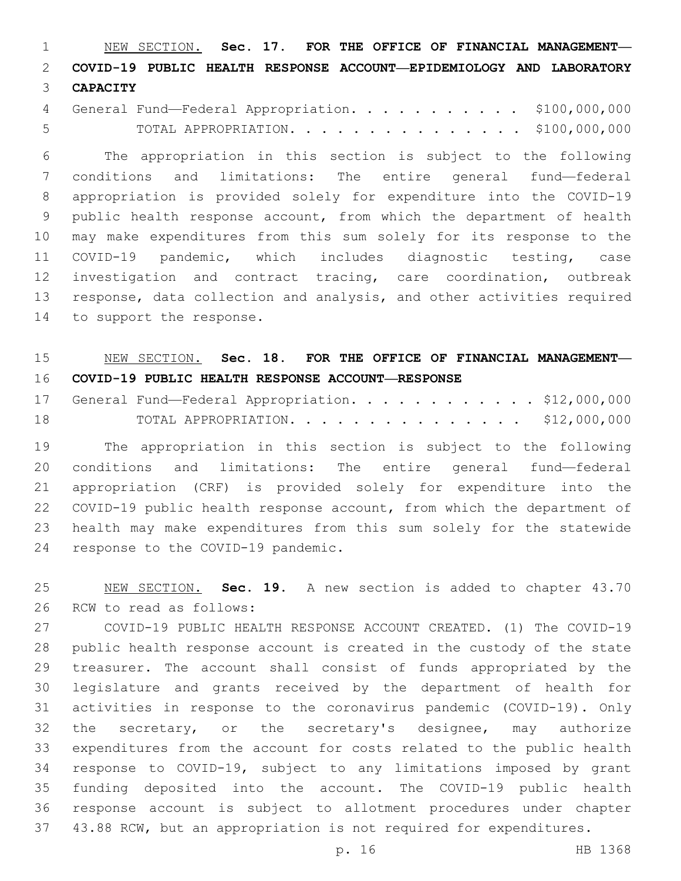NEW SECTION. **Sec. 17. FOR THE OFFICE OF FINANCIAL MANAGEMENT— COVID-19 PUBLIC HEALTH RESPONSE ACCOUNT—EPIDEMIOLOGY AND LABORATORY CAPACITY**

| 4 General Fund-Federal Appropriation. \$100,000,000 |  |  |  |  |  |  |                                    |
|-----------------------------------------------------|--|--|--|--|--|--|------------------------------------|
|                                                     |  |  |  |  |  |  | TOTAL APPROPRIATION. \$100,000,000 |

 The appropriation in this section is subject to the following conditions and limitations: The entire general fund—federal appropriation is provided solely for expenditure into the COVID-19 public health response account, from which the department of health may make expenditures from this sum solely for its response to the COVID-19 pandemic, which includes diagnostic testing, case investigation and contract tracing, care coordination, outbreak response, data collection and analysis, and other activities required 14 to support the response.

### NEW SECTION. **Sec. 18. FOR THE OFFICE OF FINANCIAL MANAGEMENT— COVID-19 PUBLIC HEALTH RESPONSE ACCOUNT—RESPONSE**

|    |  |  |  |  |  |  |  |  |  | 17 General Fund-Federal Appropriation. \$12,000,000 |
|----|--|--|--|--|--|--|--|--|--|-----------------------------------------------------|
| 18 |  |  |  |  |  |  |  |  |  | TOTAL APPROPRIATION. \$12,000,000                   |

 The appropriation in this section is subject to the following conditions and limitations: The entire general fund—federal appropriation (CRF) is provided solely for expenditure into the COVID-19 public health response account, from which the department of health may make expenditures from this sum solely for the statewide 24 response to the COVID-19 pandemic.

 NEW SECTION. **Sec. 19.** A new section is added to chapter 43.70 26 RCW to read as follows:

 COVID-19 PUBLIC HEALTH RESPONSE ACCOUNT CREATED. (1) The COVID-19 public health response account is created in the custody of the state treasurer. The account shall consist of funds appropriated by the legislature and grants received by the department of health for activities in response to the coronavirus pandemic (COVID-19). Only 32 the secretary, or the secretary's designee, may authorize expenditures from the account for costs related to the public health response to COVID-19, subject to any limitations imposed by grant funding deposited into the account. The COVID-19 public health response account is subject to allotment procedures under chapter 43.88 RCW, but an appropriation is not required for expenditures.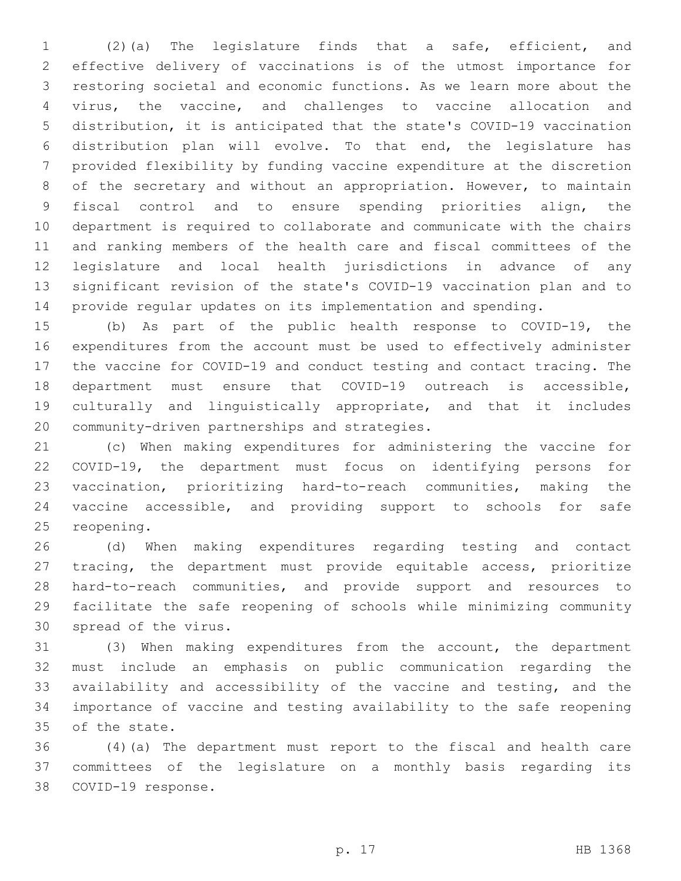(2)(a) The legislature finds that a safe, efficient, and effective delivery of vaccinations is of the utmost importance for restoring societal and economic functions. As we learn more about the virus, the vaccine, and challenges to vaccine allocation and distribution, it is anticipated that the state's COVID-19 vaccination distribution plan will evolve. To that end, the legislature has provided flexibility by funding vaccine expenditure at the discretion of the secretary and without an appropriation. However, to maintain fiscal control and to ensure spending priorities align, the department is required to collaborate and communicate with the chairs and ranking members of the health care and fiscal committees of the legislature and local health jurisdictions in advance of any significant revision of the state's COVID-19 vaccination plan and to provide regular updates on its implementation and spending.

 (b) As part of the public health response to COVID-19, the expenditures from the account must be used to effectively administer the vaccine for COVID-19 and conduct testing and contact tracing. The department must ensure that COVID-19 outreach is accessible, culturally and linguistically appropriate, and that it includes 20 community-driven partnerships and strategies.

 (c) When making expenditures for administering the vaccine for COVID-19, the department must focus on identifying persons for vaccination, prioritizing hard-to-reach communities, making the vaccine accessible, and providing support to schools for safe 25 reopening.

 (d) When making expenditures regarding testing and contact tracing, the department must provide equitable access, prioritize hard-to-reach communities, and provide support and resources to facilitate the safe reopening of schools while minimizing community 30 spread of the virus.

 (3) When making expenditures from the account, the department must include an emphasis on public communication regarding the availability and accessibility of the vaccine and testing, and the importance of vaccine and testing availability to the safe reopening 35 of the state.

 (4)(a) The department must report to the fiscal and health care committees of the legislature on a monthly basis regarding its 38 COVID-19 response.